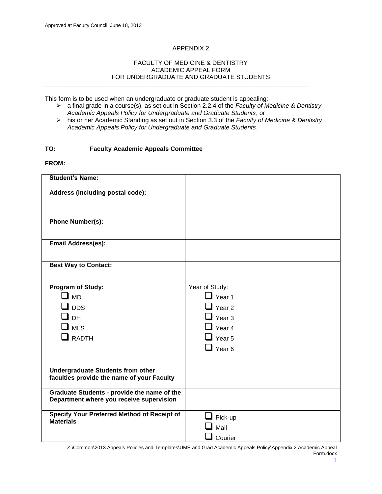### APPENDIX 2

## FACULTY OF MEDICINE & DENTISTRY ACADEMIC APPEAL FORM FOR UNDERGRADUATE AND GRADUATE STUDENTS

**\_\_\_\_\_\_\_\_\_\_\_\_\_\_\_\_\_\_\_\_\_\_\_\_\_\_\_\_\_\_\_\_\_\_\_\_\_\_\_\_\_\_\_\_\_\_\_\_\_\_\_\_\_\_\_\_\_\_\_\_\_\_\_\_\_\_\_\_\_\_\_\_\_\_\_\_**

This form is to be used when an undergraduate or graduate student is appealing:

- a final grade in a course(s), as set out in Section 2.2.4 of the *Faculty of Medicine & Dentistry Academic Appeals Policy for Undergraduate and Graduate Students*; or
- his or her Academic Standing as set out in Section 3.3 of the *Faculty of Medicine & Dentistry Academic Appeals Policy for Undergraduate and Graduate Students*.

### **TO: Faculty Academic Appeals Committee**

#### **FROM:**

| <b>Student's Name:</b>                                                                                   |                                                                                                                      |
|----------------------------------------------------------------------------------------------------------|----------------------------------------------------------------------------------------------------------------------|
| Address (including postal code):                                                                         |                                                                                                                      |
| <b>Phone Number(s):</b>                                                                                  |                                                                                                                      |
| Email Address(es):                                                                                       |                                                                                                                      |
| <b>Best Way to Contact:</b>                                                                              |                                                                                                                      |
| Program of Study:<br>$\square$ MD<br>$\blacksquare$ DDS<br>$\square$ dh<br>$\square$ MLS<br>$\Box$ radth | Year of Study:<br>$\Box$ Year 1<br>$\Box$ Year 2<br>$\Box$ Year 3<br>$\Box$ Year 4<br>$\Box$ Year 5<br>$\Box$ Year 6 |
| <b>Undergraduate Students from other</b><br>faculties provide the name of your Faculty                   |                                                                                                                      |
| Graduate Students - provide the name of the<br>Department where you receive supervision                  |                                                                                                                      |
| Specify Your Preferred Method of Receipt of<br><b>Materials</b>                                          | Pick-up<br>$\mathbf{l}$ Mail<br>Courier                                                                              |

Z:\Common\2013 Appeals Policies and Templates\UME and Grad Academic Appeals Policy\Appendix 2 Academic Appeal Form.docx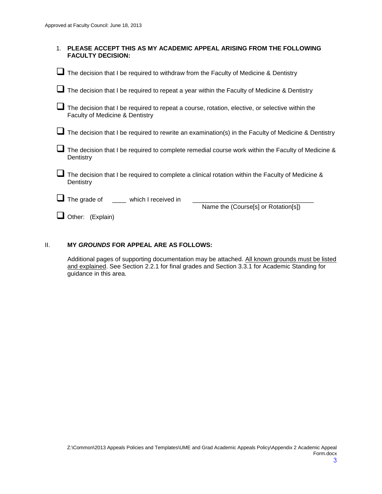| $1_{-}$ | PLEASE ACCEPT THIS AS MY ACADEMIC APPEAL ARISING FROM THE FOLLOWING<br><b>FACULTY DECISION:</b>                                    |  |
|---------|------------------------------------------------------------------------------------------------------------------------------------|--|
|         | The decision that I be required to withdraw from the Faculty of Medicine & Dentistry                                               |  |
|         | The decision that I be required to repeat a year within the Faculty of Medicine & Dentistry                                        |  |
|         | The decision that I be required to repeat a course, rotation, elective, or selective within the<br>Faculty of Medicine & Dentistry |  |
|         | The decision that I be required to rewrite an examination(s) in the Faculty of Medicine & Dentistry                                |  |
|         | The decision that I be required to complete remedial course work within the Faculty of Medicine &<br>Dentistry                     |  |
|         | The decision that I be required to complete a clinical rotation within the Faculty of Medicine &<br>Dentistry                      |  |
|         | The grade of _____ which I received in<br>Name the (Course[s] or Rotation[s])                                                      |  |
|         | Other: (Explain)                                                                                                                   |  |

## II. **MY** *GROUNDS* **FOR APPEAL ARE AS FOLLOWS:**

Additional pages of supporting documentation may be attached. All known grounds must be listed and explained. See Section 2.2.1 for final grades and Section 3.3.1 for Academic Standing for guidance in this area.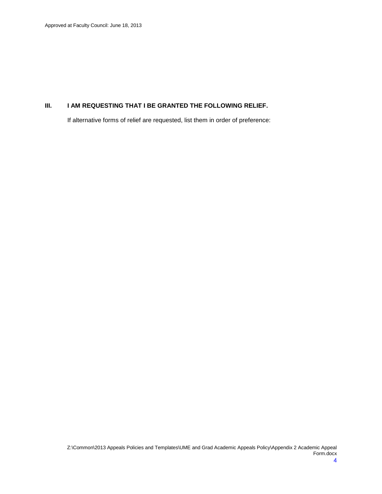# **III. I AM REQUESTING THAT I BE GRANTED THE FOLLOWING RELIEF.**

If alternative forms of relief are requested, list them in order of preference: